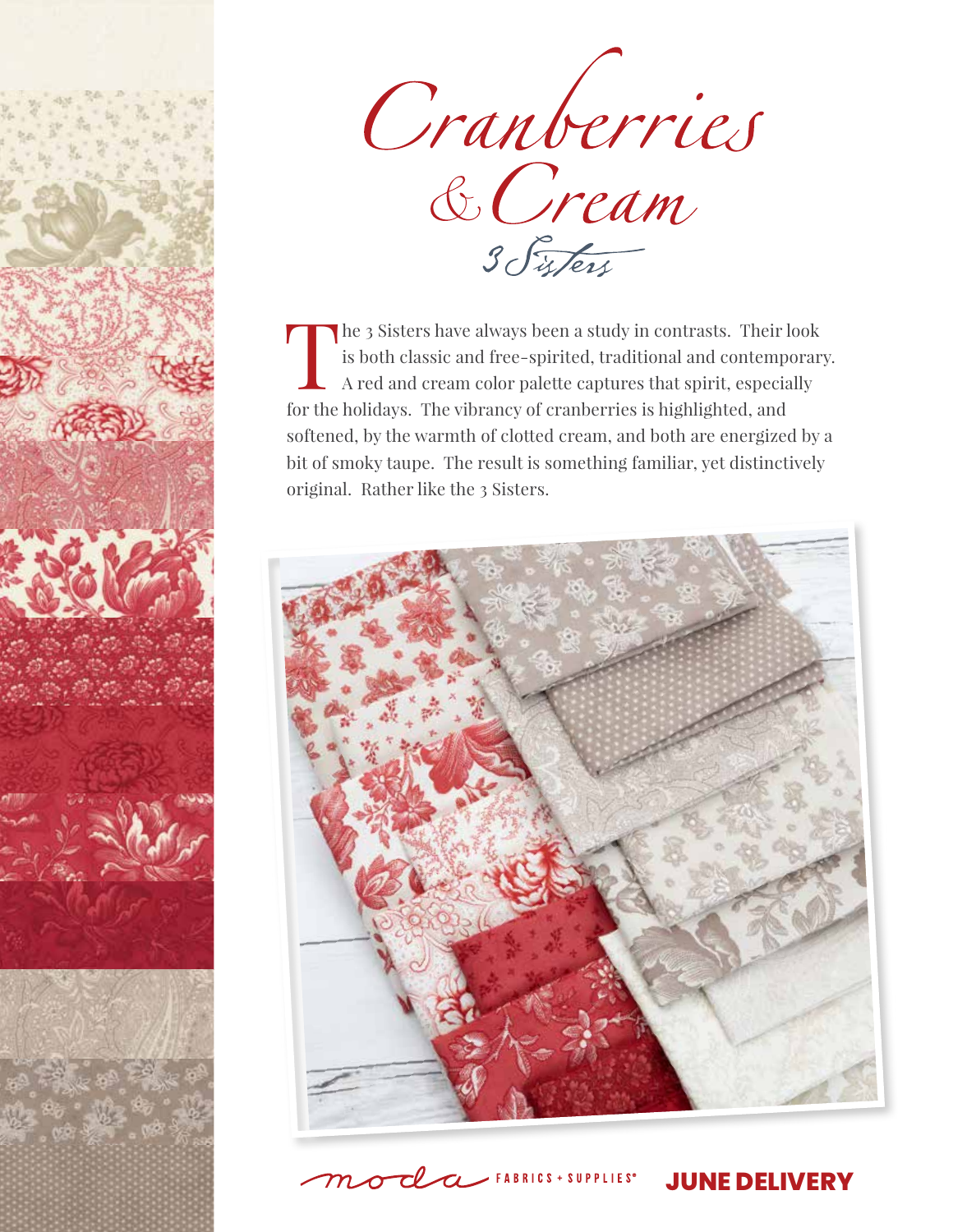

Cranberries<br>& Cream

The 3 Sisters have always been a study in contrasts. Their look is both classic and free-spirited, traditional and contemporary. A red and cream color palette captures that spirit, especially for the holidays. The vibrancy of cranberries is highlighted, and softened, by the warmth of clotted cream, and both are energized by a bit of smoky taupe. The result is something familiar, yet distinctively original. Rather like the 3 Sisters.



 $-$  FABRICS + SUPPLIES<sup>®</sup>

**JUNE DELIVERY**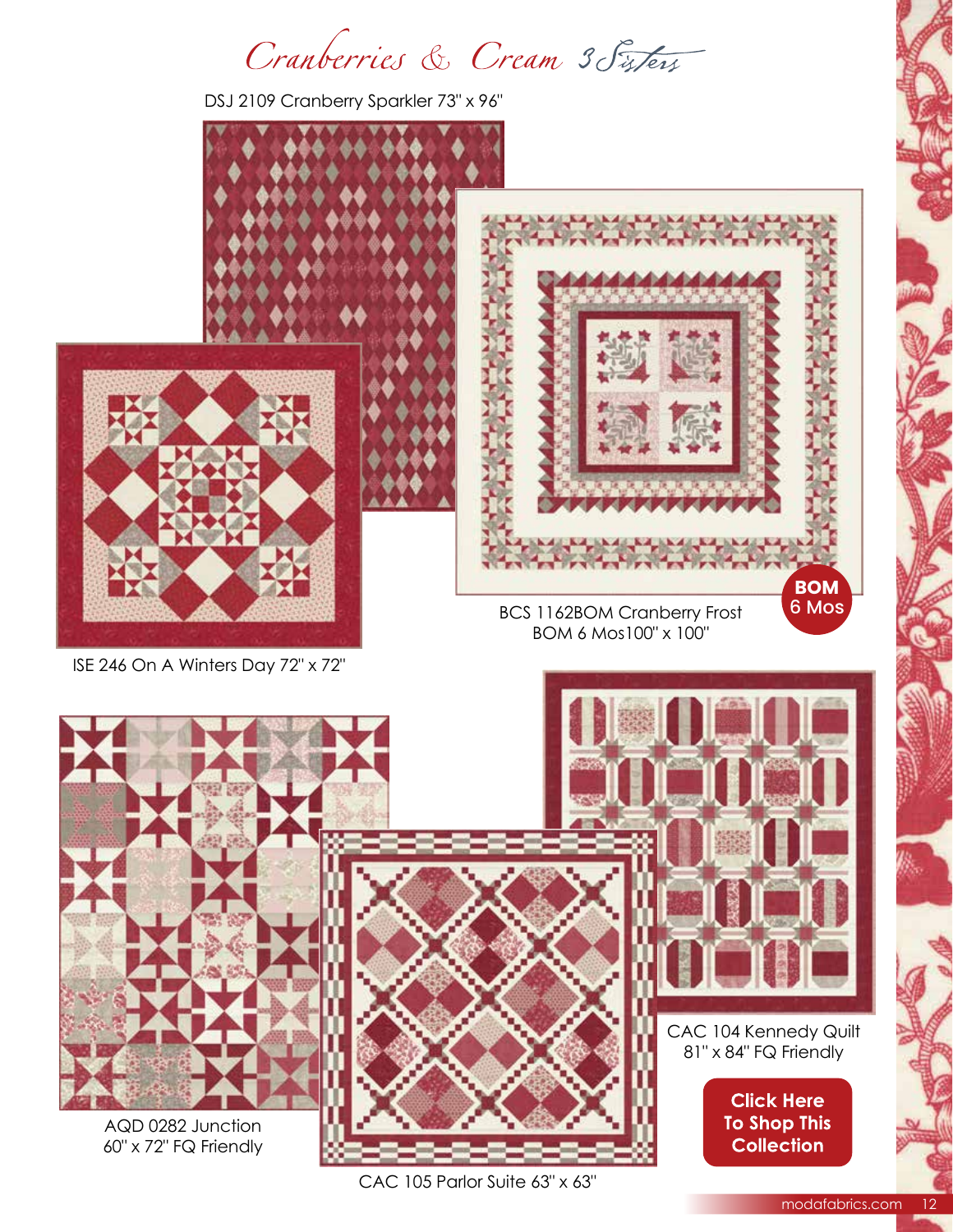Cranberries & Cream 3 Sisters

DSJ 2109 Cranberry Sparkler 73" x 96"



modafabrics.com 12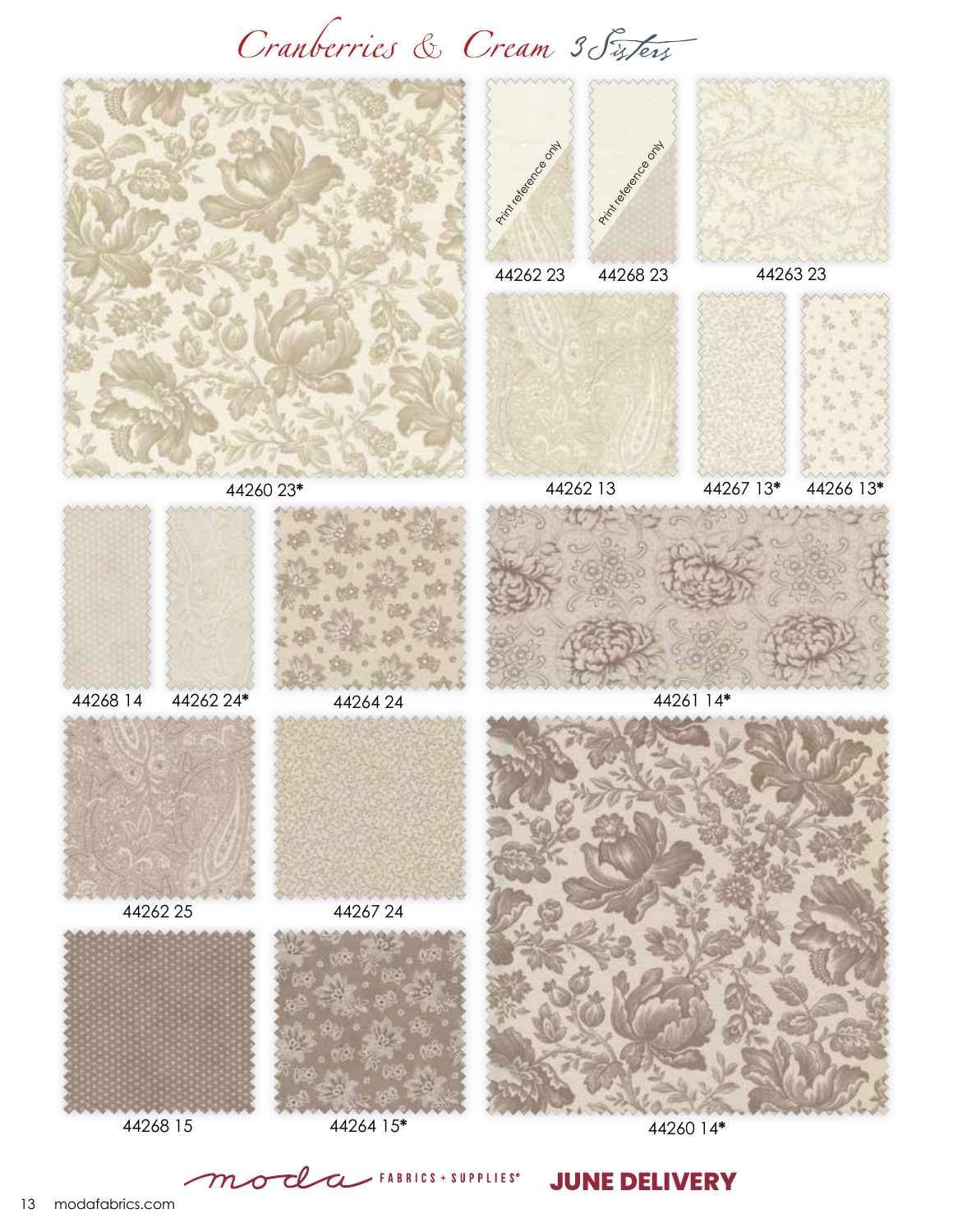## Cranberries & Cream 3 Fisters



**JUNE DELIVERY**

13 modafabrics.com